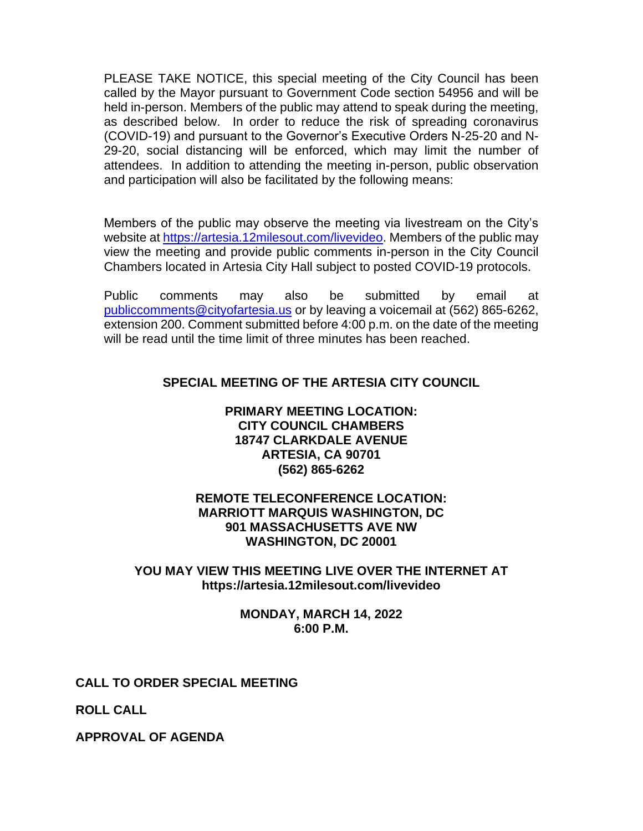PLEASE TAKE NOTICE, this special meeting of the City Council has been called by the Mayor pursuant to Government Code section 54956 and will be held in-person. Members of the public may attend to speak during the meeting, as described below. In order to reduce the risk of spreading coronavirus (COVID-19) and pursuant to the Governor's Executive Orders N-25-20 and N-29-20, social distancing will be enforced, which may limit the number of attendees. In addition to attending the meeting in-person, public observation and participation will also be facilitated by the following means:

Members of the public may observe the meeting via livestream on the City's website at [https://artesia.12milesout.com/livevideo.](https://artesia.12milesout.com/livevideo) Members of the public may view the meeting and provide public comments in-person in the City Council Chambers located in Artesia City Hall subject to posted COVID-19 protocols.

Public comments may also be submitted by email at [publiccomments@cityofartesia.us](mailto:publiccomments@cityofartesia.us) or by leaving a voicemail at (562) 865-6262, extension 200. Comment submitted before 4:00 p.m. on the date of the meeting will be read until the time limit of three minutes has been reached.

# **SPECIAL MEETING OF THE ARTESIA CITY COUNCIL**

# **PRIMARY MEETING LOCATION: CITY COUNCIL CHAMBERS 18747 CLARKDALE AVENUE ARTESIA, CA 90701 (562) 865-6262**

# **REMOTE TELECONFERENCE LOCATION: MARRIOTT MARQUIS WASHINGTON, DC 901 MASSACHUSETTS AVE NW WASHINGTON, DC 20001**

# **YOU MAY VIEW THIS MEETING LIVE OVER THE INTERNET AT https://artesia.12milesout.com/livevideo**

#### **MONDAY, MARCH 14, 2022 6:00 P.M.**

# **CALL TO ORDER SPECIAL MEETING**

**ROLL CALL** 

**APPROVAL OF AGENDA**